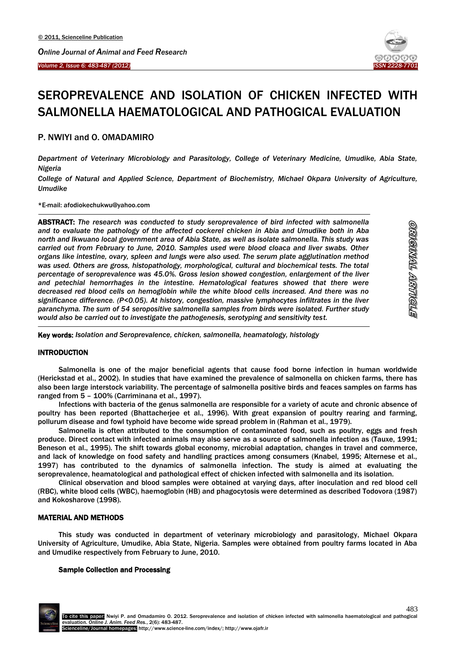

# SEROPREVALENCE AND ISOLATION OF CHICKEN INFECTED WITH SALMONELLA HAEMATOLOGICAL AND PATHOGICAL EVALUATION

# P. NWIYI and O. OMADAMIRO

*Department of Veterinary Microbiology and Parasitology, College of Veterinary Medicine, Umudike, Abia State, Nigeria*

*College of Natural and Applied Science, Department of Biochemistry, Michael Okpara University of Agriculture, Umudike*

#### \*E-mail: afodiokechukwu@yahoo.com

1 ABSTRACT: *The research was conducted to study seroprevalence of bird infected with salmonella and to evaluate the pathology of the affected cockerel chicken in Abia and Umudike both in Aba north and Ikwuano local government area of Abia State, as well as isolate salmonella. This study was carried out from February to June, 2010. Samples used were blood cloaca and liver swabs. Other organs like intestine, ovary, spleen and lungs were also used. The serum plate agglutination method was used. Others are gross, histopathology, morphological, cultural and biochemical tests. The total percentage of seroprevalence was 45.0%. Gross lesion showed congestion, enlargement of the liver and petechial hemorrhages in the intestine. Hematological features showed that there were decreased red blood cells on hemoglobin while the white blood cells increased. And there was no significance difference. (P<0.05). At history, congestion, massive lymphocytes infiltrates in the liver paranchyma. The sum of 54 seropositive salmonella samples from birds were isolated. Further study would also be carried out to investigate the pathogenesis, serotyping and sensitivity test.*

Key words: *Isolation and Seroprevalence, chicken, salmonella, heamatology, histology*

# INTRODUCTION

-

Salmonella is one of the major beneficial agents that cause food borne infection in human worldwide (Herickstad et al., 2002). In studies that have examined the prevalence of salmonella on chicken farms, there has also been large interstock variability. The percentage of salmonella positive birds and feaces samples on farms has ranged from 5 – 100% (Carriminana et al., 1997).

Infections with bacteria of the genus salmonella are responsible for a variety of acute and chronic absence of poultry has been reported (Bhattacherjee et al., 1996). With great expansion of poultry rearing and farming, pollurum disease and fowl typhoid have become wide spread problem in (Rahman et al., 1979).

Salmonella is often attributed to the consumption of contaminated food, such as poultry, eggs and fresh produce. Direct contact with infected animals may also serve as a source of salmonella infection as (Tauxe, 1991; Beneson et al., 1995). The shift towards global economy, microbial adaptation, changes in travel and commerce, and lack of knowledge on food safety and handling practices among consumers (Knabel, 1995; Alternese et al., 1997) has contributed to the dynamics of salmonella infection. The study is aimed at evaluating the seroprevalence, heamatological and pathological effect of chicken infected with salmonella and its isolation.

Clinical observation and blood samples were obtained at varying days, after inoculation and red blood cell (RBC), white blood cells (WBC), haemoglobin (HB) and phagocytosis were determined as described Todovora (1987) and Kokosharove (1998).

# MATERIAL AND METHODS

This study was conducted in department of veterinary microbiology and parasitology, Michael Okpara University of Agriculture, Umudike, Abia State, Nigeria. Samples were obtained from poultry farms located in Aba and Umudike respectively from February to June, 2010.

#### Sample Collection and Processing

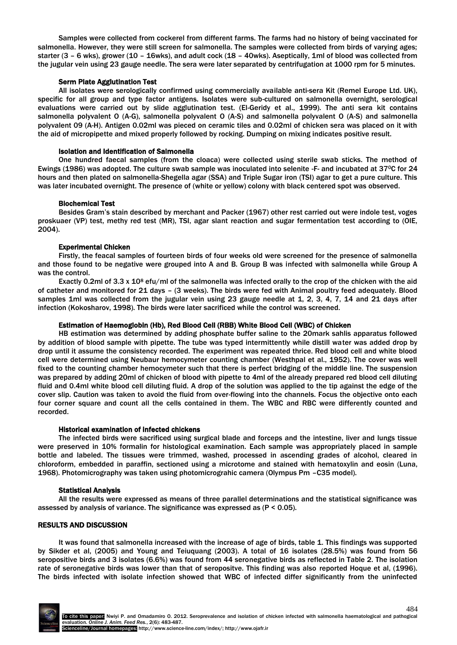Samples were collected from cockerel from different farms. The farms had no history of being vaccinated for salmonella. However, they were still screen for salmonella. The samples were collected from birds of varying ages; starter (3 – 6 wks), grower (10 – 16wks), and adult cock (18 – 40wks). Aseptically, 1ml of blood was collected from the jugular vein using 23 gauge needle. The sera were later separated by centrifugation at 1000 rpm for 5 minutes.

#### Serm Plate Agglutination Test

All isolates were serologically confirmed using commercially available anti-sera Kit (Remel Europe Ltd. UK), specific for all group and type factor antigens. Isolates were sub-cultured on salmonella overnight, serological evaluations were carried out by slide agglutination test. (El-Geridy et al., 1999). The anti sera kit contains salmonella polyvalent O (A-G), salmonella polyvalent O (A-S) and salmonella polyvalent O (A-S) and salmonella polyvalent 09 (A-H). Antigen 0.02ml was pieced on ceramic tiles and 0.02ml of chicken sera was placed on it with the aid of micropipette and mixed properly followed by rocking. Dumping on mixing indicates positive result.

#### Isolation and Identification of Salmonella

One hundred faecal samples (from the cloaca) were collected using sterile swab sticks. The method of Ewings (1986) was adopted. The culture swab sample was inoculated into selenite -F- and incubated at 370C for 24 hours and then plated on salmonella-Shegella agar (SSA) and Triple Sugar iron (TSI) agar to get a pure culture. This was later incubated overnight. The presence of (white or yellow) colony with black centered spot was observed.

#### Biochemical Test

Besides Gram's stain described by merchant and Packer (1967) other rest carried out were indole test, voges proskuaer (VP) test, methy red test (MR), TSI, agar slant reaction and sugar fermentation test according to (OIE, 2004).

#### Experimental Chicken

Firstly, the feacal samples of fourteen birds of four weeks old were screened for the presence of salmonella and those found to be negative were grouped into A and B. Group B was infected with salmonella while Group A was the control.

Exactly 0.2ml of 3.3 x 10<sup>8</sup> efu/ml of the salmonella was infected orally to the crop of the chicken with the aid of catheter and monitored for 21 days – (3 weeks). The birds were fed with Animal poultry feed adequately. Blood samples 1ml was collected from the jugular vein using 23 gauge needle at 1, 2, 3, 4, 7, 14 and 21 days after infection (Kokosharov, 1998). The birds were later sacrificed while the control was screened.

#### Estimation of Haemoglobin (Hb), Red Blood Cell (RBB) White Blood Cell (WBC) of Chicken

HB estimation was determined by adding phosphate buffer saline to the 20mark sahlis apparatus followed by addition of blood sample with pipette. The tube was typed intermittently while distill water was added drop by drop until it assume the consistency recorded. The experiment was repeated thrice. Red blood cell and white blood cell were determined using Neubaur hemocymeter counting chamber (Westhpal et al., 1952). The cover was well fixed to the counting chamber hemocymeter such that there is perfect bridging of the middle line. The suspension was prepared by adding 20ml of chicken of blood with pipette to 4ml of the already prepared red blood cell diluting fluid and 0.4ml white blood cell diluting fluid. A drop of the solution was applied to the tip against the edge of the cover slip. Caution was taken to avoid the fluid from over-flowing into the channels. Focus the objective onto each four corner square and count all the cells contained in them. The WBC and RBC were differently counted and recorded.

#### Historical examination of infected chickens

The infected birds were sacrificed using surgical blade and forceps and the intestine, liver and lungs tissue were preserved in 10% formalin for histological examination. Each sample was appropriately placed in sample bottle and labeled. The tissues were trimmed, washed, processed in ascending grades of alcohol, cleared in chloroform, embedded in paraffin, sectioned using a microtome and stained with hematoxylin and eosin (Luna, 1968). Photomicrography was taken using photomicrograhic camera (Olympus Pm –C35 model).

# Statistical Analysis

All the results were expressed as means of three parallel determinations and the statistical significance was assessed by analysis of variance. The significance was expressed as (P < 0.05).

# RESULTS AND DISCUSSION

It was found that salmonella increased with the increase of age of birds, table 1. This findings was supported by Sikder et al, (2005) and Young and Teiuquang (2003). A total of 16 isolates (28.5%) was found from 56 seropositive birds and 3 isolates (6.6%) was found from 44 seronegative birds as reflected in Table 2. The isolation rate of seronegative birds was lower than that of seropositve. This finding was also reported Hoque et al, (1996). The birds infected with isolate infection showed that WBC of infected differ significantly from the uninfected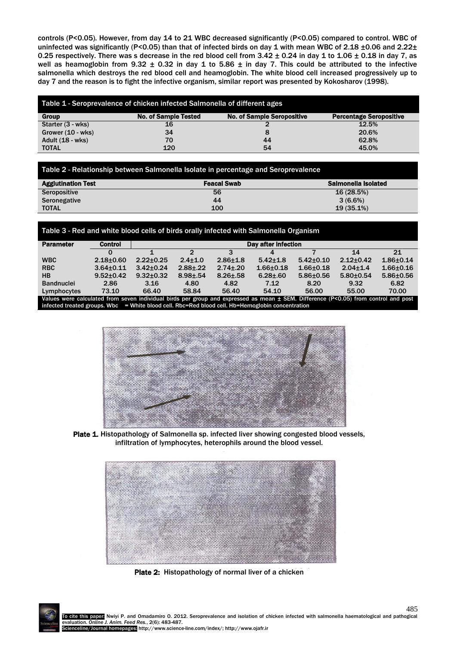controls (P<0.05). However, from day 14 to 21 WBC decreased significantly (P<0.05) compared to control. WBC of uninfected was significantly (P<0.05) than that of infected birds on day 1 with mean WBC of 2.18 ±0.06 and 2.22± 0.25 respectively. There was s decrease in the red blood cell from  $3.42 \pm 0.24$  in day 1 to  $1.06 \pm 0.18$  in day 7, as well as heamoglobin from 9.32  $\pm$  0.32 in day 1 to 5.86  $\pm$  in day 7. This could be attributed to the infective salmonella which destroys the red blood cell and heamoglobin. The white blood cell increased progressively up to day 7 and the reason is to fight the infective organism, similar report was presented by Kokosharov (1998).

| Table 1 - Seroprevalence of chicken infected Salmonella of different ages |                                                                  |    |                                |  |  |  |  |  |
|---------------------------------------------------------------------------|------------------------------------------------------------------|----|--------------------------------|--|--|--|--|--|
| Group                                                                     | <b>No. of Sample Seropositive</b><br><b>No. of Sample Tested</b> |    | <b>Percentage Seropositive</b> |  |  |  |  |  |
| Starter (3 - wks)                                                         | 16                                                               |    | 12.5%                          |  |  |  |  |  |
| Grower $(10 - wks)$                                                       | 34                                                               |    | 20.6%                          |  |  |  |  |  |
| Adult (18 - wks)                                                          | 70                                                               | 44 | 62.8%                          |  |  |  |  |  |
| <b>TOTAL</b>                                                              | 120                                                              | 54 | 45.0%                          |  |  |  |  |  |

| Table 2 - Relationship between Salmonella Isolate in percentage and Seroprevalence |                    |                     |  |  |  |  |  |
|------------------------------------------------------------------------------------|--------------------|---------------------|--|--|--|--|--|
| <b>Agglutination Test</b>                                                          | <b>Feacal Swab</b> | Salmonella Isolated |  |  |  |  |  |
| Seropositive                                                                       | 56                 | 16(28.5%)           |  |  |  |  |  |
| Seronegative                                                                       | 44                 | $3(6.6\%)$          |  |  |  |  |  |
| <b>TOTAL</b>                                                                       | 100                | 19(35.1%)           |  |  |  |  |  |

#### Table 3 - Red and white blood cells of birds orally infected with Salmonella Organism

| <b>Parameter</b>                                                                                                                        | <b>Control</b>  | Day after infection |               |               |                |                 |                 |                 |
|-----------------------------------------------------------------------------------------------------------------------------------------|-----------------|---------------------|---------------|---------------|----------------|-----------------|-----------------|-----------------|
|                                                                                                                                         |                 |                     |               |               |                |                 | 14              | 21              |
| <b>WBC</b>                                                                                                                              | $2.18 + 0.60$   | $2.22 \pm 0.25$     | $2.4 + 1.0$   | $2.86 + 1.8$  | $5.42 \pm 1.8$ | $5.42 \pm 0.10$ | $2.12+0.42$     | $1.86 + 0.14$   |
| <b>RBC</b>                                                                                                                              | $3.64 + 0.11$   | $3.42 \pm 0.24$     | $2.88 + 22$   | $2.74 \pm 20$ | $1.66 + 0.18$  | $1.66 + 0.18$   | $2.04 + 1.4$    | $1.66 + 0.16$   |
| <b>HB</b>                                                                                                                               | $9.52 \pm 0.42$ | $9.32 \pm 0.32$     | $8.98 \pm 54$ | $8.26 \pm 58$ | $6.28 \pm 60$  | $5.86 \pm 0.56$ | $5.80 \pm 0.54$ | $5.86 \pm 0.56$ |
| <b>Bandnuclei</b>                                                                                                                       | 2.86            | 3.16                | 4.80          | 4.82          | 7.12           | 8.20            | 9.32            | 6.82            |
| Lymphocytes                                                                                                                             | 73.10           | 66.40               | 58.84         | 56.40         | 54.10          | 56.00           | 55.00           | 70.00           |
| Values were calculated from seven individual birds per group and expressed as mean $\pm$ SEM. Difference (P<0.05) from control and post |                 |                     |               |               |                |                 |                 |                 |

infected treated groups. Wbc = White blood cell. Rbc=Red blood cell. Hb=Hemoglobin concentration



Plate 1. Histopathology of Salmonella sp. infected liver showing congested blood vessels, infiltration of lymphocytes, heterophils around the blood vessel.



Plate 2: Histopathology of normal liver of a chicken

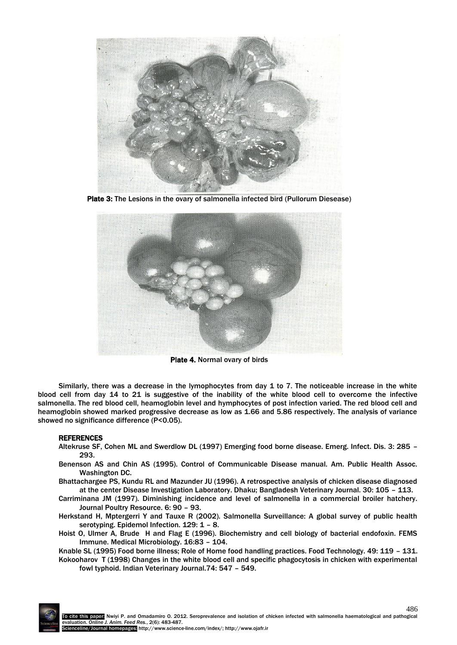

Plate 3: The Lesions in the ovary of salmonella infected bird (Pullorum Diesease)



Plate 4. Normal ovary of birds

Similarly, there was a decrease in the lymophocytes from day 1 to 7. The noticeable increase in the white blood cell from day 14 to 21 is suggestive of the inability of the white blood cell to overcome the infective salmonella. The red blood cell, heamoglobin level and hymphocytes of post infection varied. The red blood cell and heamoglobin showed marked progressive decrease as low as 1.66 and 5.86 respectively. The analysis of variance showed no significance difference (P<0.05).

# REFERENCES

- Altekruse SF, Cohen ML and Swerdlow DL (1997) Emerging food borne disease. Emerg. Infect. Dis. 3: 285 293.
- Benenson AS and Chin AS (1995). Control of Communicable Disease manual. Am. Public Health Assoc. Washington DC.
- Bhattachargee PS, Kundu RL and Mazunder JU (1996). A retrospective analysis of chicken disease diagnosed at the center Disease Investigation Laboratory. Dhaku; Bangladesh Veterinary Journal. 30: 105 – 113.
- Carriminana JM (1997). Diminishing incidence and level of salmonella in a commercial broiler hatchery. Journal Poultry Resource. 6: 90 – 93.
- Herkstand H, Mptergerri Y and Tauxe R (2002). Salmonella Surveillance: A global survey of public health serotyping. Epidemol Infection. 129: 1 - 8.
- Hoist O, Ulmer A, Brude H and Flag E (1996). Biochemistry and cell biology of bacterial endofoxin. FEMS Immune. Medical Microbiology. 16:83 – 104.
- Knable SL (1995) Food borne illness; Role of Home food handling practices. Food Technology. 49: 119 131. Kokooharov T (1998) Changes in the white blood cell and specific phagocytosis in chicken with experimental
	- fowl typhoid. Indian Veterinary Journal.74: 547 549.